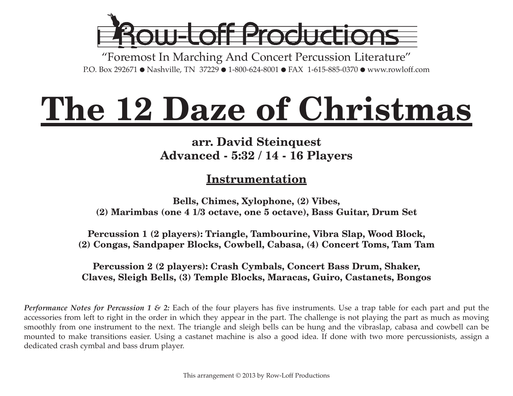

"Foremost In Marching And Concert Percussion Literature" P.O. Box 292671 ● Nashville, TN 37229 ● 1-800-624-8001 ● FAX 1-615-885-0370 ● www.rowloff.com

# **The 12 Daze of Christmas**

### **arr. David Steinquest Advanced - 5:32 / 14 - 16 Players**

### **Instrumentation**

**Bells, Chimes, Xylophone, (2) Vibes, (2) Marimbas (one 4 1/3 octave, one 5 octave), Bass Guitar, Drum Set**

**Percussion 1 (2 players): Triangle, Tambourine, Vibra Slap, Wood Block, (2) Congas, Sandpaper Blocks, Cowbell, Cabasa, (4) Concert Toms, Tam Tam**

#### **Percussion 2 (2 players): Crash Cymbals, Concert Bass Drum, Shaker, Claves, Sleigh Bells, (3) Temple Blocks, Maracas, Guiro, Castanets, Bongos**

*Performance Notes for Percussion 1 & 2:* Each of the four players has five instruments. Use a trap table for each part and put the accessories from left to right in the order in which they appear in the part. The challenge is not playing the part as much as moving smoothly from one instrument to the next. The triangle and sleigh bells can be hung and the vibraslap, cabasa and cowbell can be mounted to make transitions easier. Using a castanet machine is also a good idea. If done with two more percussionists, assign a dedicated crash cymbal and bass drum player.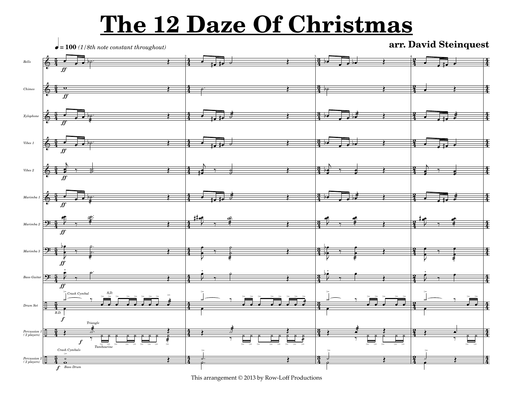## **The 12 Daze Of Christmas**



This arrangement © 2013 by Row-Loff Productions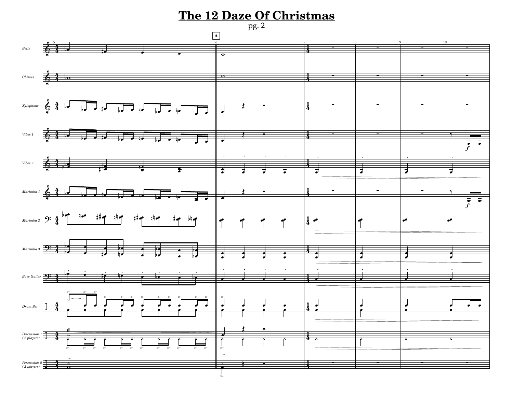### **The 12 Daze Of Christmas** pg. 2



>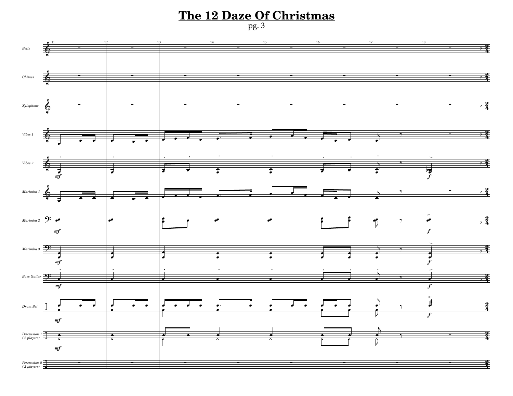### **The 12 Daze Of Christmas** pg. 3

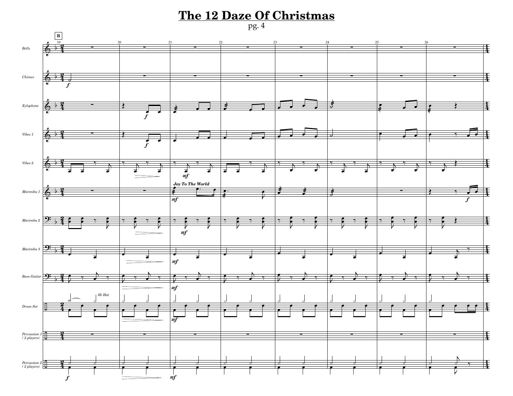#### **The 12 Daze Of Christmas**



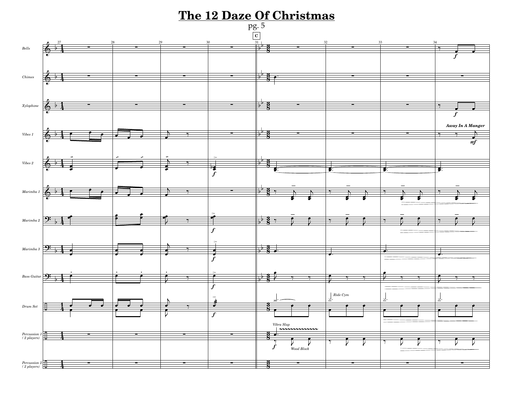### **The 12 Daze Of Christmas** pg. 5

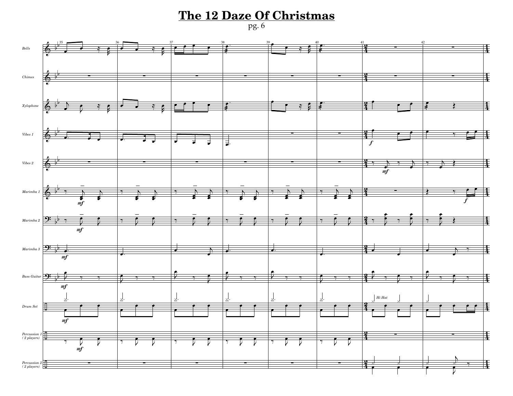#### **The 12 Daze Of Christmas**

pg. 6